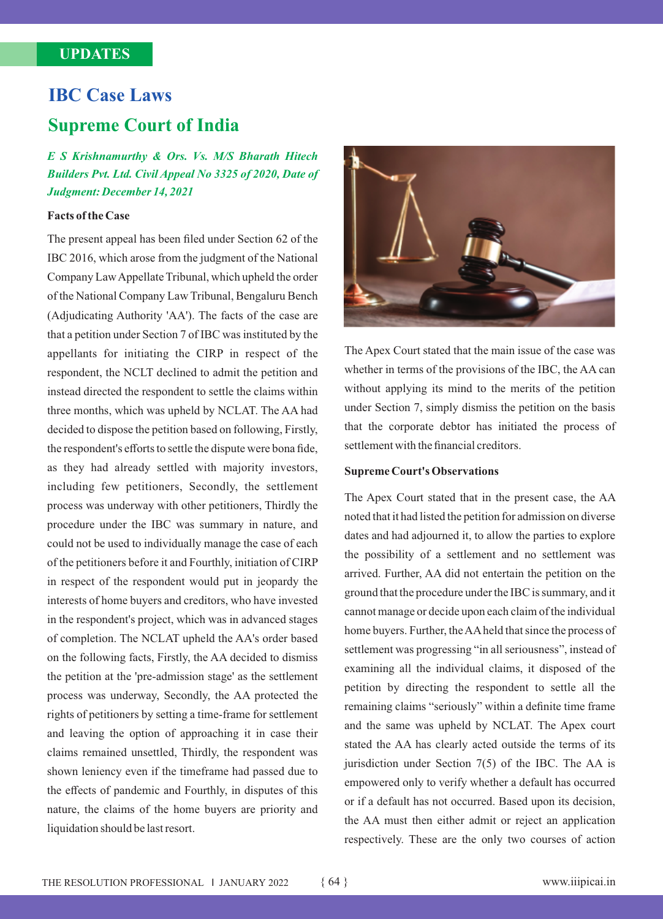# **IBC Case Laws**

# **Supreme Court of India**

*E S Krishnamurthy & Ors. Vs. M/S Bharath Hitech Builders Pvt. Ltd. Civil Appeal No 3325 of 2020, Date of Judgment: December 14, 2021* 

# **Facts of the Case**

The present appeal has been filed under Section 62 of the IBC 2016, which arose from the judgment of the National Company Law Appellate Tribunal, which upheld the order of the National Company Law Tribunal, Bengaluru Bench (Adjudicating Authority 'AA'). The facts of the case are that a petition under Section 7 of IBC was instituted by the appellants for initiating the CIRP in respect of the respondent, the NCLT declined to admit the petition and instead directed the respondent to settle the claims within three months, which was upheld by NCLAT. The AA had decided to dispose the petition based on following, Firstly, the respondent's efforts to settle the dispute were bona fide, as they had already settled with majority investors, including few petitioners, Secondly, the settlement process was underway with other petitioners, Thirdly the procedure under the IBC was summary in nature, and could not be used to individually manage the case of each of the petitioners before it and Fourthly, initiation of CIRP in respect of the respondent would put in jeopardy the interests of home buyers and creditors, who have invested in the respondent's project, which was in advanced stages of completion. The NCLAT upheld the AA's order based on the following facts, Firstly, the AA decided to dismiss the petition at the 'pre-admission stage' as the settlement process was underway, Secondly, the AA protected the rights of petitioners by setting a time-frame for settlement and leaving the option of approaching it in case their claims remained unsettled, Thirdly, the respondent was shown leniency even if the timeframe had passed due to the effects of pandemic and Fourthly, in disputes of this nature, the claims of the home buyers are priority and liquidation should be last resort.



The Apex Court stated that the main issue of the case was whether in terms of the provisions of the IBC, the AA can without applying its mind to the merits of the petition under Section 7, simply dismiss the petition on the basis that the corporate debtor has initiated the process of settlement with the financial creditors.

# **Supreme Court's Observations**

The Apex Court stated that in the present case, the AA noted that it had listed the petition for admission on diverse dates and had adjourned it, to allow the parties to explore the possibility of a settlement and no settlement was arrived. Further, AA did not entertain the petition on the ground that the procedure under the IBC is summary, and it cannot manage or decide upon each claim of the individual home buyers. Further, the AAheld that since the process of settlement was progressing "in all seriousness", instead of examining all the individual claims, it disposed of the petition by directing the respondent to settle all the remaining claims "seriously" within a definite time frame and the same was upheld by NCLAT. The Apex court stated the AA has clearly acted outside the terms of its jurisdiction under Section  $7(5)$  of the IBC. The AA is empowered only to verify whether a default has occurred or if a default has not occurred. Based upon its decision, the AA must then either admit or reject an application respectively. These are the only two courses of action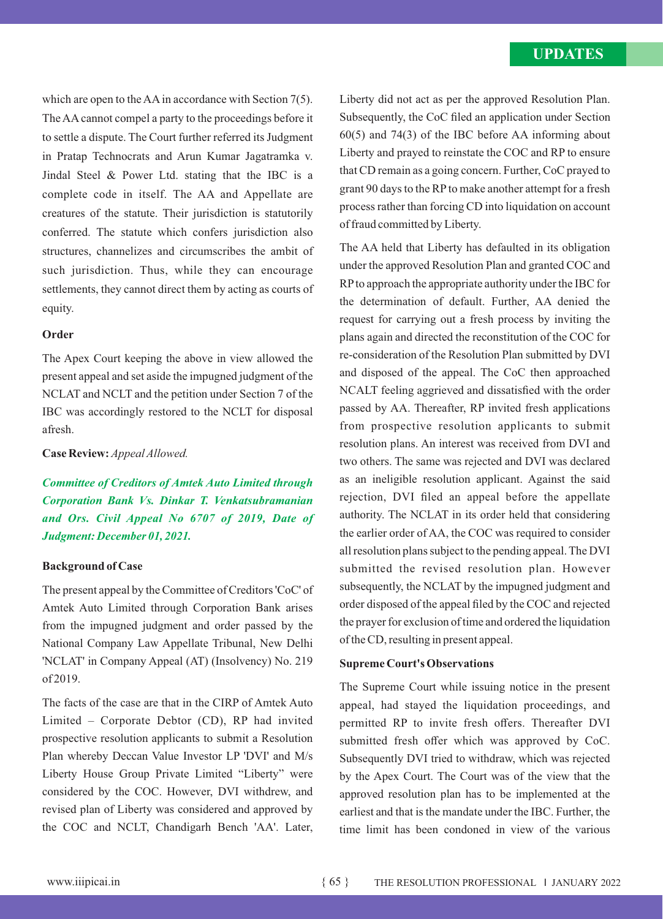which are open to the AA in accordance with Section 7(5). The AAcannot compel a party to the proceedings before it to settle a dispute. The Court further referred its Judgment in Pratap Technocrats and Arun Kumar Jagatramka v. Jindal Steel  $&$  Power Ltd. stating that the IBC is a complete code in itself. The AA and Appellate are creatures of the statute. Their jurisdiction is statutorily conferred. The statute which confers jurisdiction also structures, channelizes and circumscribes the ambit of such jurisdiction. Thus, while they can encourage settlements, they cannot direct them by acting as courts of equity.

#### **Order**

The Apex Court keeping the above in view allowed the present appeal and set aside the impugned judgment of the NCLAT and NCLT and the petition under Section 7 of the IBC was accordingly restored to the NCLT for disposal afresh.

## **Case Review:***Appeal Allowed.*

*Committee of Creditors of Amtek Auto Limited through Corporation Bank Vs. Dinkar T. Venkatsubramanian and Ors. Civil Appeal No 6707 of 2019, Date of Judgment: December 01, 2021.* 

#### **Background of Case**

The present appeal by the Committee of Creditors 'CoC' of Amtek Auto Limited through Corporation Bank arises from the impugned judgment and order passed by the National Company Law Appellate Tribunal, New Delhi 'NCLAT' in Company Appeal (AT) (Insolvency) No. 219 of 2019.

The facts of the case are that in the CIRP of Amtek Auto Limited – Corporate Debtor (CD), RP had invited prospective resolution applicants to submit a Resolution Plan whereby Deccan Value Investor LP 'DVI' and M/s Liberty House Group Private Limited "Liberty" were considered by the COC. However, DVI withdrew, and revised plan of Liberty was considered and approved by the COC and NCLT, Chandigarh Bench 'AA'. Later,

Liberty did not act as per the approved Resolution Plan. Subsequently, the CoC filed an application under Section 60(5) and 74(3) of the IBC before AA informing about Liberty and prayed to reinstate the COC and RP to ensure that CD remain as a going concern. Further, CoC prayed to grant 90 days to the RPto make another attempt for a fresh process rather than forcing CD into liquidation on account of fraud committed by Liberty.

The AA held that Liberty has defaulted in its obligation under the approved Resolution Plan and granted COC and RP to approach the appropriate authority under the IBC for the determination of default. Further, AA denied the request for carrying out a fresh process by inviting the plans again and directed the reconstitution of the COC for re-consideration of the Resolution Plan submitted by DVI and disposed of the appeal. The CoC then approached NCALT feeling aggrieved and dissatisfied with the order passed by AA. Thereafter, RP invited fresh applications from prospective resolution applicants to submit resolution plans. An interest was received from DVI and two others. The same was rejected and DVI was declared as an ineligible resolution applicant. Against the said rejection, DVI filed an appeal before the appellate authority. The NCLAT in its order held that considering the earlier order of AA, the COC was required to consider all resolution plans subject to the pending appeal. The DVI submitted the revised resolution plan. However subsequently, the NCLAT by the impugned judgment and order disposed of the appeal filed by the COC and rejected the prayer for exclusion of time and ordered the liquidation of the CD, resulting in present appeal.

#### **Supreme Court's Observations**

The Supreme Court while issuing notice in the present appeal, had stayed the liquidation proceedings, and permitted RP to invite fresh offers. Thereafter DVI submitted fresh offer which was approved by CoC. Subsequently DVI tried to withdraw, which was rejected by the Apex Court. The Court was of the view that the approved resolution plan has to be implemented at the earliest and that is the mandate under the IBC. Further, the time limit has been condoned in view of the various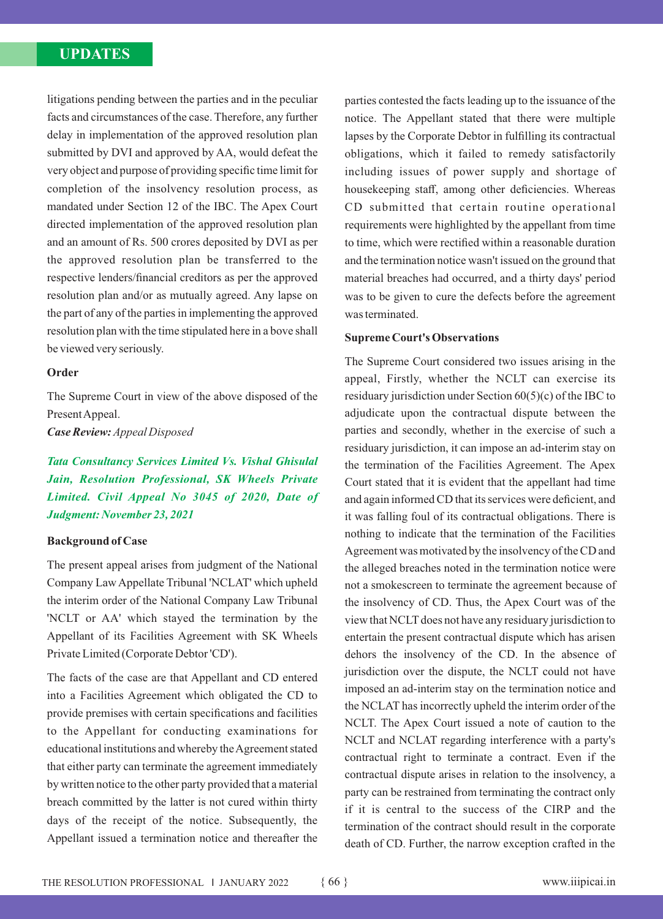# **UPDATES UPDATES**

litigations pending between the parties and in the peculiar facts and circumstances of the case. Therefore, any further delay in implementation of the approved resolution plan submitted by DVI and approved by AA, would defeat the very object and purpose of providing specific time limit for completion of the insolvency resolution process, as mandated under Section 12 of the IBC. The Apex Court directed implementation of the approved resolution plan and an amount of Rs. 500 crores deposited by DVI as per the approved resolution plan be transferred to the respective lenders/financial creditors as per the approved resolution plan and/or as mutually agreed. Any lapse on the part of any of the parties in implementing the approved resolution plan with the time stipulated here in a bove shall be viewed very seriously.

## **Order**

The Supreme Court in view of the above disposed of the Present Appeal.

*Case Review: Appeal Disposed*

*Tata Consultancy Services Limited Vs. Vishal Ghisulal Jain, Resolution Professional, SK Wheels Private Limited. Civil Appeal No 3045 of 2020, Date of Judgment: November 23, 2021*

## **Background of Case**

The present appeal arises from judgment of the National Company Law Appellate Tribunal 'NCLAT' which upheld the interim order of the National Company Law Tribunal 'NCLT or AA' which stayed the termination by the Appellant of its Facilities Agreement with SK Wheels Private Limited (Corporate Debtor 'CD').

The facts of the case are that Appellant and CD entered into a Facilities Agreement which obligated the CD to provide premises with certain specifications and facilities to the Appellant for conducting examinations for educational institutions and whereby the Agreement stated that either party can terminate the agreement immediately by written notice to the other party provided that a material breach committed by the latter is not cured within thirty days of the receipt of the notice. Subsequently, the Appellant issued a termination notice and thereafter the

parties contested the facts leading up to the issuance of the notice. The Appellant stated that there were multiple lapses by the Corporate Debtor in fulfilling its contractual obligations, which it failed to remedy satisfactorily including issues of power supply and shortage of housekeeping staff, among other deficiencies. Whereas CD submitted that certain routine operational requirements were highlighted by the appellant from time to time, which were rectified within a reasonable duration and the termination notice wasn't issued on the ground that material breaches had occurred, and a thirty days' period was to be given to cure the defects before the agreement was terminated.

#### **Supreme Court's Observations**

The Supreme Court considered two issues arising in the appeal, Firstly, whether the NCLT can exercise its residuary jurisdiction under Section 60(5)(c) of the IBC to adjudicate upon the contractual dispute between the parties and secondly, whether in the exercise of such a residuary jurisdiction, it can impose an ad-interim stay on the termination of the Facilities Agreement. The Apex Court stated that it is evident that the appellant had time and again informed CD that its services were deficient, and it was falling foul of its contractual obligations. There is nothing to indicate that the termination of the Facilities Agreement was motivated by the insolvency of the CD and the alleged breaches noted in the termination notice were not a smokescreen to terminate the agreement because of the insolvency of CD. Thus, the Apex Court was of the view that NCLT does not have any residuary jurisdiction to entertain the present contractual dispute which has arisen dehors the insolvency of the CD. In the absence of jurisdiction over the dispute, the NCLT could not have imposed an ad-interim stay on the termination notice and the NCLAT has incorrectly upheld the interim order of the NCLT. The Apex Court issued a note of caution to the NCLT and NCLAT regarding interference with a party's contractual right to terminate a contract. Even if the contractual dispute arises in relation to the insolvency, a party can be restrained from terminating the contract only if it is central to the success of the CIRP and the termination of the contract should result in the corporate death of CD. Further, the narrow exception crafted in the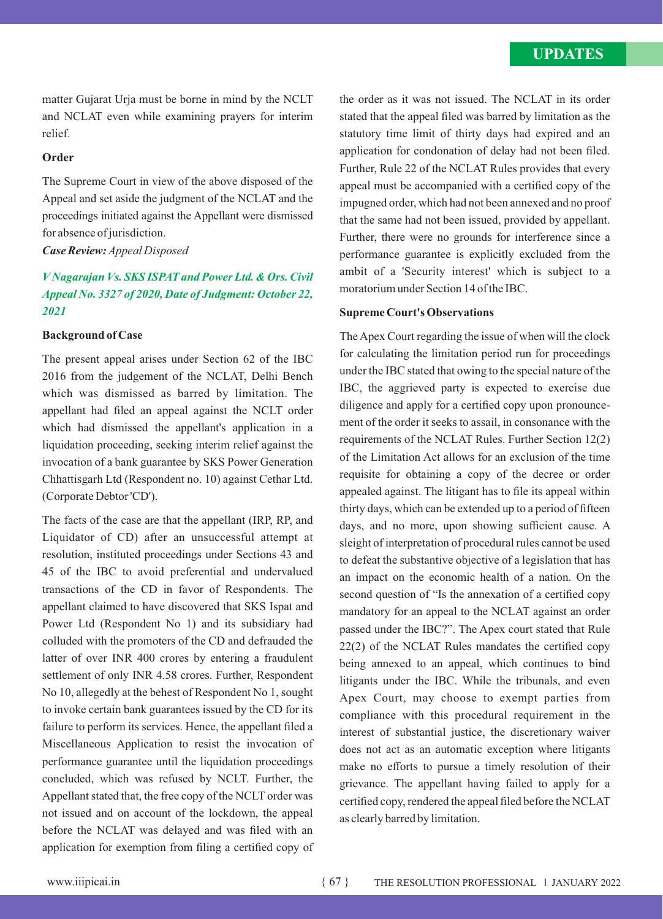matter Gujarat Urja must be borne in mind by the NCLT and NCLAT even while examining prayers for interim relief.

## **Order**

The Supreme Court in view of the above disposed of the Appeal and set aside the judgment of the NCLAT and the proceedings initiated against the Appellant were dismissed for absence of jurisdiction.

*Case Review: Appeal Disposed*

# *V Nagarajan Vs. SKS ISPAT and Power Ltd. & Ors. Civil Appeal No. 3327 of 2020, Date of Judgment: October 22, 2021*

# **Background of Case**

The present appeal arises under Section 62 of the IBC 2016 from the judgement of the NCLAT, Delhi Bench which was dismissed as barred by limitation. The appellant had filed an appeal against the NCLT order which had dismissed the appellant's application in a liquidation proceeding, seeking interim relief against the invocation of a bank guarantee by SKS Power Generation Chhattisgarh Ltd (Respondent no. 10) against Cethar Ltd. (Corporate Debtor 'CD').

The facts of the case are that the appellant (IRP, RP, and Liquidator of CD) after an unsuccessful attempt at resolution, instituted proceedings under Sections 43 and 45 of the IBC to avoid preferential and undervalued transactions of the CD in favor of Respondents. The appellant claimed to have discovered that SKS Ispat and Power Ltd (Respondent No 1) and its subsidiary had colluded with the promoters of the CD and defrauded the latter of over INR 400 crores by entering a fraudulent settlement of only INR 4.58 crores. Further, Respondent No 10, allegedly at the behest of Respondent No 1, sought to invoke certain bank guarantees issued by the CD for its failure to perform its services. Hence, the appellant filed a Miscellaneous Application to resist the invocation of performance guarantee until the liquidation proceedings concluded, which was refused by NCLT. Further, the Appellant stated that, the free copy of the NCLT order was not issued and on account of the lockdown, the appeal before the NCLAT was delayed and was filed with an application for exemption from filing a certified copy of

the order as it was not issued. The NCLAT in its order stated that the appeal filed was barred by limitation as the statutory time limit of thirty days had expired and an application for condonation of delay had not been filed. Further, Rule 22 of the NCLAT Rules provides that every appeal must be accompanied with a certified copy of the impugned order, which had not been annexed and no proof that the same had not been issued, provided by appellant. Further, there were no grounds for interference since a performance guarantee is explicitly excluded from the ambit of a 'Security interest' which is subject to a moratorium under Section 14 of the IBC.

#### **Supreme Court's Observations**

The Apex Court regarding the issue of when will the clock for calculating the limitation period run for proceedings under the IBC stated that owing to the special nature of the IBC, the aggrieved party is expected to exercise due diligence and apply for a certified copy upon pronouncement of the order it seeks to assail, in consonance with the requirements of the NCLAT Rules. Further Section 12(2) of the Limitation Act allows for an exclusion of the time requisite for obtaining a copy of the decree or order appealed against. The litigant has to file its appeal within thirty days, which can be extended up to a period of fifteen days, and no more, upon showing sufficient cause. A sleight of interpretation of procedural rules cannot be used to defeat the substantive objective of a legislation that has an impact on the economic health of a nation. On the second question of "Is the annexation of a certified copy mandatory for an appeal to the NCLAT against an order passed under the IBC?". The Apex court stated that Rule 22(2) of the NCLAT Rules mandates the certified copy being annexed to an appeal, which continues to bind litigants under the IBC. While the tribunals, and even Apex Court, may choose to exempt parties from compliance with this procedural requirement in the interest of substantial justice, the discretionary waiver does not act as an automatic exception where litigants make no efforts to pursue a timely resolution of their grievance. The appellant having failed to apply for a certified copy, rendered the appeal filed before the NCLAT as clearly barred by limitation.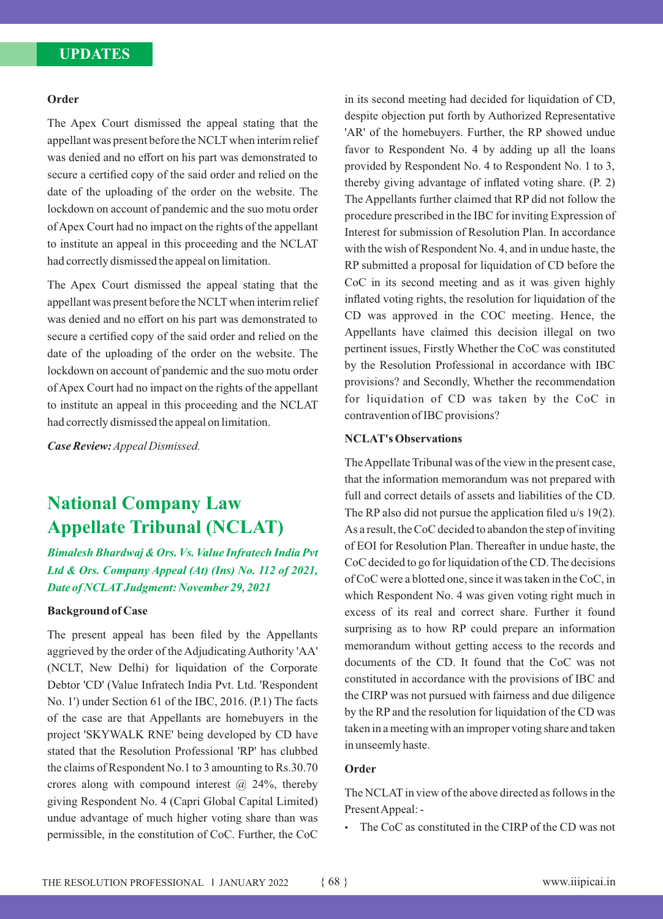# **Order**

The Apex Court dismissed the appeal stating that the appellant was present before the NCLTwhen interim relief was denied and no effort on his part was demonstrated to secure a certified copy of the said order and relied on the date of the uploading of the order on the website. The lockdown on account of pandemic and the suo motu order of Apex Court had no impact on the rights of the appellant to institute an appeal in this proceeding and the NCLAT had correctly dismissed the appeal on limitation.

The Apex Court dismissed the appeal stating that the appellant was present before the NCLTwhen interim relief was denied and no effort on his part was demonstrated to secure a certified copy of the said order and relied on the date of the uploading of the order on the website. The lockdown on account of pandemic and the suo motu order of Apex Court had no impact on the rights of the appellant to institute an appeal in this proceeding and the NCLAT had correctly dismissed the appeal on limitation.

*Case Review:Appeal Dismissed.*

# **National Company Law Appellate Tribunal (NCLAT)**

*Bimalesh Bhardwaj & Ors. Vs. Value Infratech India Pvt Ltd & Ors. Company Appeal (At) (Ins) No. 112 of 2021, Date of NCLAT Judgment: November 29, 2021*

#### **Background of Case**

The present appeal has been filed by the Appellants aggrieved by the order of the Adjudicating Authority 'AA' (NCLT, New Delhi) for liquidation of the Corporate Debtor 'CD' (Value Infratech India Pvt. Ltd. 'Respondent No. 1') under Section 61 of the IBC, 2016. (P.1) The facts of the case are that Appellants are homebuyers in the project 'SKYWALK RNE' being developed by CD have stated that the Resolution Professional 'RP' has clubbed the claims of Respondent No.1 to 3 amounting to Rs.30.70 crores along with compound interest  $(a)$  24%, thereby giving Respondent No. 4 (Capri Global Capital Limited) undue advantage of much higher voting share than was permissible, in the constitution of CoC. Further, the CoC

in its second meeting had decided for liquidation of CD, despite objection put forth by Authorized Representative 'AR' of the homebuyers. Further, the RP showed undue favor to Respondent No. 4 by adding up all the loans provided by Respondent No. 4 to Respondent No. 1 to 3, thereby giving advantage of inflated voting share. (P. 2) The Appellants further claimed that RP did not follow the procedure prescribed in the IBC for inviting Expression of Interest for submission of Resolution Plan. In accordance with the wish of Respondent No. 4, and in undue haste, the RP submitted a proposal for liquidation of CD before the CoC in its second meeting and as it was given highly inflated voting rights, the resolution for liquidation of the CD was approved in the COC meeting. Hence, the Appellants have claimed this decision illegal on two pertinent issues, Firstly Whether the CoC was constituted by the Resolution Professional in accordance with IBC provisions? and Secondly, Whether the recommendation for liquidation of CD was taken by the CoC in contravention of IBC provisions?

# **NCLAT's Observations**

The Appellate Tribunal was of the view in the present case, that the information memorandum was not prepared with full and correct details of assets and liabilities of the CD. The RP also did not pursue the application filed  $u/s$  19(2). As a result, the CoC decided to abandon the step of inviting of EOI for Resolution Plan. Thereafter in undue haste, the CoC decided to go for liquidation of the CD. The decisions of CoC were a blotted one, since it was taken in the CoC, in which Respondent No. 4 was given voting right much in excess of its real and correct share. Further it found surprising as to how RP could prepare an information memorandum without getting access to the records and documents of the CD. It found that the CoC was not constituted in accordance with the provisions of IBC and the CIRP was not pursued with fairness and due diligence by the RP and the resolution for liquidation of the CD was taken in a meeting with an improper voting share and taken in unseemly haste.

# **Order**

The NCLAT in view of the above directed as follows in the Present Appeal: -

• The CoC as constituted in the CIRP of the CD was not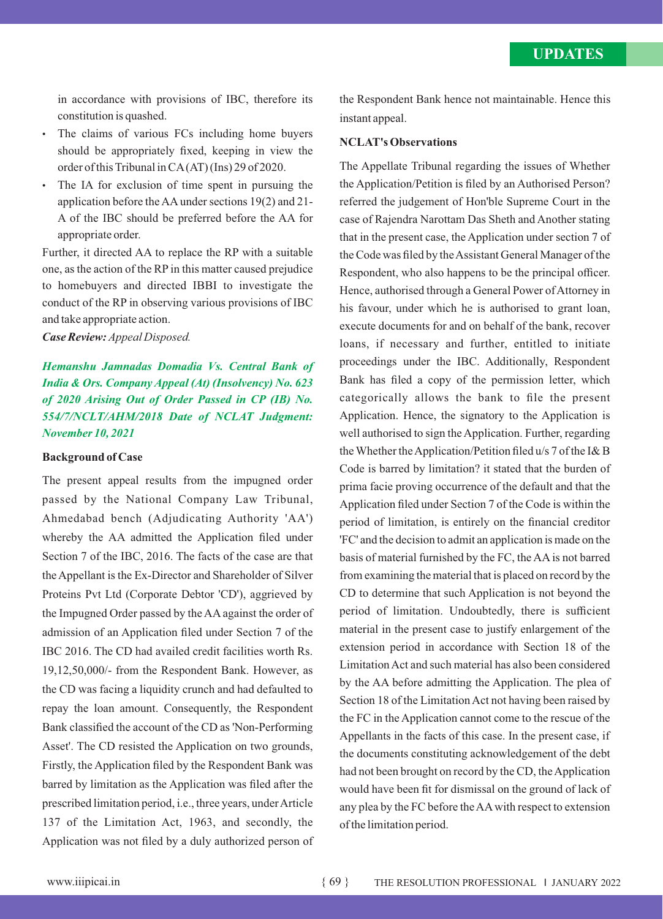in accordance with provisions of IBC, therefore its constitution is quashed.

- The claims of various FCs including home buyers should be appropriately fixed, keeping in view the order of this Tribunal in CA(AT) (Ins) 29 of 2020.
- The IA for exclusion of time spent in pursuing the application before the AAunder sections 19(2) and 21- A of the IBC should be preferred before the AA for appropriate order.

Further, it directed AA to replace the RP with a suitable one, as the action of the RPin this matter caused prejudice to homebuyers and directed IBBI to investigate the conduct of the RP in observing various provisions of IBC and take appropriate action.

*Case Review: Appeal Disposed.*

# *Hemanshu Jamnadas Domadia Vs. Central Bank of India & Ors. Company Appeal (At) (Insolvency) No. 623 of 2020 Arising Out of Order Passed in CP (IB) No. 554/7/NCLT/AHM/2018 Date of NCLAT Judgment: November 10, 2021*

## **Background of Case**

The present appeal results from the impugned order passed by the National Company Law Tribunal, Ahmedabad bench (Adjudicating Authority 'AA') whereby the AA admitted the Application filed under Section 7 of the IBC, 2016. The facts of the case are that the Appellant is the Ex-Director and Shareholder of Silver Proteins Pvt Ltd (Corporate Debtor 'CD'), aggrieved by the Impugned Order passed by the AAagainst the order of admission of an Application filed under Section 7 of the IBC 2016. The CD had availed credit facilities worth Rs. 19,12,50,000/- from the Respondent Bank. However, as the CD was facing a liquidity crunch and had defaulted to repay the loan amount. Consequently, the Respondent Bank classified the account of the CD as 'Non-Performing Asset'. The CD resisted the Application on two grounds, Firstly, the Application filed by the Respondent Bank was barred by limitation as the Application was filed after the prescribed limitation period, i.e., three years, under Article 137 of the Limitation Act, 1963, and secondly, the Application was not filed by a duly authorized person of the Respondent Bank hence not maintainable. Hence this instant appeal.

# **NCLAT's Observations**

The Appellate Tribunal regarding the issues of Whether the Application/Petition is filed by an Authorised Person? referred the judgement of Hon'ble Supreme Court in the case of Rajendra Narottam Das Sheth and Another stating that in the present case, the Application under section 7 of the Code was filed by the Assistant General Manager of the Respondent, who also happens to be the principal officer. Hence, authorised through a General Power of Attorney in his favour, under which he is authorised to grant loan, execute documents for and on behalf of the bank, recover loans, if necessary and further, entitled to initiate proceedings under the IBC. Additionally, Respondent Bank has filed a copy of the permission letter, which categorically allows the bank to file the present Application. Hence, the signatory to the Application is well authorised to sign the Application. Further, regarding the Whether the Application/Petition filed u/s 7 of the I& B Code is barred by limitation? it stated that the burden of prima facie proving occurrence of the default and that the Application filed under Section 7 of the Code is within the period of limitation, is entirely on the financial creditor 'FC' and the decision to admit an application is made on the basis of material furnished by the FC, the AAis not barred from examining the material that is placed on record by the CD to determine that such Application is not beyond the period of limitation. Undoubtedly, there is sufficient material in the present case to justify enlargement of the extension period in accordance with Section 18 of the Limitation Act and such material has also been considered by the AA before admitting the Application. The plea of Section 18 of the Limitation Act not having been raised by the FC in the Application cannot come to the rescue of the Appellants in the facts of this case. In the present case, if the documents constituting acknowledgement of the debt had not been brought on record by the CD, the Application would have been fit for dismissal on the ground of lack of any plea by the FC before the AAwith respect to extension of the limitation period.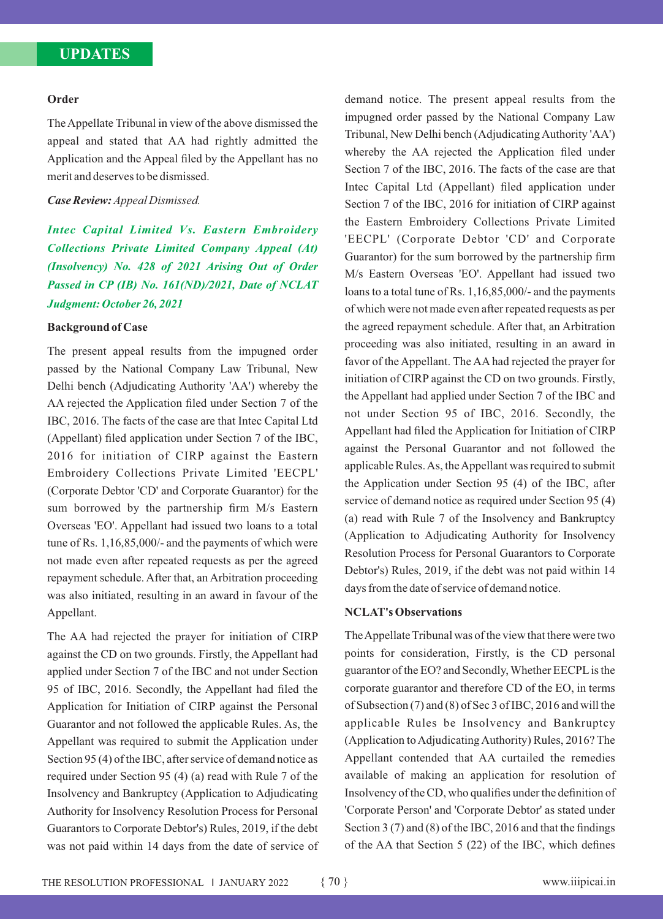# **UPDATES UPDATES**

# **Order**

The Appellate Tribunal in view of the above dismissed the appeal and stated that AA had rightly admitted the Application and the Appeal filed by the Appellant has no merit and deserves to be dismissed.

## *Case Review: Appeal Dismissed.*

*Intec Capital Limited Vs. Eastern Embroidery Collections Private Limited Company Appeal (At) (Insolvency) No. 428 of 2021 Arising Out of Order Passed in CP (IB) No. 161(ND)/2021, Date of NCLAT Judgment: October 26, 2021* 

## **Background of Case**

The present appeal results from the impugned order passed by the National Company Law Tribunal, New Delhi bench (Adjudicating Authority 'AA') whereby the AA rejected the Application filed under Section 7 of the IBC, 2016. The facts of the case are that Intec Capital Ltd (Appellant) filed application under Section 7 of the IBC, 2016 for initiation of CIRP against the Eastern Embroidery Collections Private Limited 'EECPL' (Corporate Debtor 'CD' and Corporate Guarantor) for the sum borrowed by the partnership firm M/s Eastern Overseas 'EO'. Appellant had issued two loans to a total tune of Rs. 1,16,85,000/- and the payments of which were not made even after repeated requests as per the agreed repayment schedule. After that, an Arbitration proceeding was also initiated, resulting in an award in favour of the Appellant.

The AA had rejected the prayer for initiation of CIRP against the CD on two grounds. Firstly, the Appellant had applied under Section 7 of the IBC and not under Section 95 of IBC, 2016. Secondly, the Appellant had filed the Application for Initiation of CIRP against the Personal Guarantor and not followed the applicable Rules. As, the Appellant was required to submit the Application under Section 95 (4) of the IBC, after service of demand notice as required under Section 95 (4) (a) read with Rule 7 of the Insolvency and Bankruptcy (Application to Adjudicating Authority for Insolvency Resolution Process for Personal Guarantors to Corporate Debtor's) Rules, 2019, if the debt was not paid within 14 days from the date of service of demand notice. The present appeal results from the impugned order passed by the National Company Law Tribunal, New Delhi bench (Adjudicating Authority 'AA') whereby the AA rejected the Application filed under Section 7 of the IBC, 2016. The facts of the case are that Intec Capital Ltd (Appellant) filed application under Section 7 of the IBC, 2016 for initiation of CIRP against the Eastern Embroidery Collections Private Limited 'EECPL' (Corporate Debtor 'CD' and Corporate Guarantor) for the sum borrowed by the partnership firm M/s Eastern Overseas 'EO'. Appellant had issued two loans to a total tune of Rs. 1,16,85,000/- and the payments of which were not made even after repeated requests as per the agreed repayment schedule. After that, an Arbitration proceeding was also initiated, resulting in an award in favor of the Appellant. The AA had rejected the prayer for initiation of CIRP against the CD on two grounds. Firstly, the Appellant had applied under Section 7 of the IBC and not under Section 95 of IBC, 2016. Secondly, the Appellant had filed the Application for Initiation of CIRP against the Personal Guarantor and not followed the applicable Rules. As, the Appellant was required to submit the Application under Section 95 (4) of the IBC, after service of demand notice as required under Section 95 (4) (a) read with Rule 7 of the Insolvency and Bankruptcy (Application to Adjudicating Authority for Insolvency Resolution Process for Personal Guarantors to Corporate Debtor's) Rules, 2019, if the debt was not paid within 14 days from the date of service of demand notice.

## **NCLAT's Observations**

The Appellate Tribunal was of the view that there were two points for consideration, Firstly, is the CD personal guarantor of the EO? and Secondly, Whether EECPLis the corporate guarantor and therefore CD of the EO, in terms of Subsection (7) and (8) of Sec 3 of IBC, 2016 and will the applicable Rules be Insolvency and Bankruptcy (Application to Adjudicating Authority) Rules, 2016? The Appellant contended that AA curtailed the remedies available of making an application for resolution of Insolvency of the CD, who qualifies under the definition of 'Corporate Person' and 'Corporate Debtor' as stated under Section 3 (7) and (8) of the IBC, 2016 and that the findings of the AA that Section 5 (22) of the IBC, which defines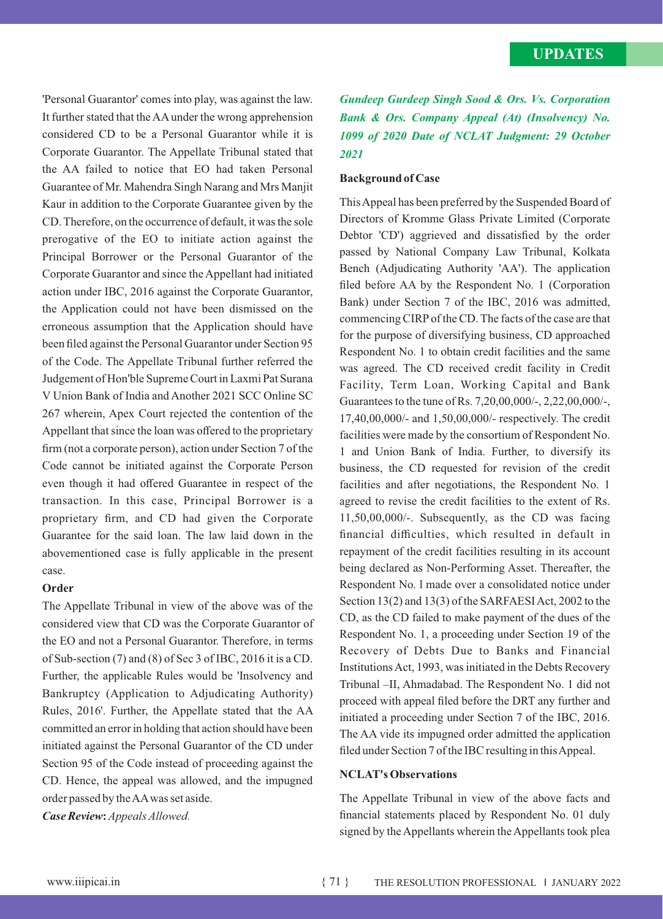'Personal Guarantor' comes into play, was against the law. It further stated that the AAunder the wrong apprehension considered CD to be a Personal Guarantor while it is Corporate Guarantor. The Appellate Tribunal stated that the AA failed to notice that EO had taken Personal Guarantee of Mr. Mahendra Singh Narang and Mrs Manjit Kaur in addition to the Corporate Guarantee given by the CD. Therefore, on the occurrence of default, it was the sole prerogative of the EO to initiate action against the Principal Borrower or the Personal Guarantor of the Corporate Guarantor and since the Appellant had initiated action under IBC, 2016 against the Corporate Guarantor, the Application could not have been dismissed on the erroneous assumption that the Application should have been filed against the Personal Guarantor under Section 95 of the Code. The Appellate Tribunal further referred the Judgement of Hon'ble Supreme Court in Laxmi Pat Surana V Union Bank of India and Another 2021 SCC Online SC 267 wherein, Apex Court rejected the contention of the Appellant that since the loan was offered to the proprietary firm (not a corporate person), action under Section 7 of the Code cannot be initiated against the Corporate Person even though it had offered Guarantee in respect of the transaction. In this case, Principal Borrower is a proprietary firm, and CD had given the Corporate Guarantee for the said loan. The law laid down in the abovementioned case is fully applicable in the present case.

#### **Order**

The Appellate Tribunal in view of the above was of the considered view that CD was the Corporate Guarantor of the EO and not a Personal Guarantor. Therefore, in terms of Sub-section (7) and (8) of Sec 3 of IBC, 2016 it is a CD. Further, the applicable Rules would be 'Insolvency and Bankruptcy (Application to Adjudicating Authority) Rules, 2016'. Further, the Appellate stated that the AA committed an error in holding that action should have been initiated against the Personal Guarantor of the CD under Section 95 of the Code instead of proceeding against the CD. Hence, the appeal was allowed, and the impugned order passed by the AAwas set aside.

*Case Review***:***Appeals Allowed.*

*Gundeep Gurdeep Singh Sood & Ors. Vs. Corporation Bank & Ors. Company Appeal (At) (Insolvency) No. 1099 of 2020 Date of NCLAT Judgment: 29 October 2021*

#### **Background of Case**

This Appeal has been preferred by the Suspended Board of Directors of Kromme Glass Private Limited (Corporate Debtor 'CD') aggrieved and dissatisfied by the order passed by National Company Law Tribunal, Kolkata Bench (Adjudicating Authority 'AA'). The application filed before AA by the Respondent No. 1 (Corporation Bank) under Section 7 of the IBC, 2016 was admitted, commencing CIRPof the CD. The facts of the case are that for the purpose of diversifying business, CD approached Respondent No. 1 to obtain credit facilities and the same was agreed. The CD received credit facility in Credit Facility, Term Loan, Working Capital and Bank Guarantees to the tune of Rs. 7,20,00,000/-, 2,22,00,000/-, 17,40,00,000/- and 1,50,00,000/- respectively. The credit facilities were made by the consortium of Respondent No. 1 and Union Bank of India. Further, to diversify its business, the CD requested for revision of the credit facilities and after negotiations, the Respondent No. 1 agreed to revise the credit facilities to the extent of Rs. 11,50,00,000/-. Subsequently, as the CD was facing financial difficulties, which resulted in default in repayment of the credit facilities resulting in its account being declared as Non-Performing Asset. Thereafter, the Respondent No. l made over a consolidated notice under Section 13(2) and 13(3) of the SARFAESI Act, 2002 to the CD, as the CD failed to make payment of the dues of the Respondent No. 1, a proceeding under Section 19 of the Recovery of Debts Due to Banks and Financial Institutions Act, 1993, was initiated in the Debts Recovery Tribunal –II, Ahmadabad. The Respondent No. 1 did not proceed with appeal filed before the DRT any further and initiated a proceeding under Section 7 of the IBC, 2016. The AA vide its impugned order admitted the application filed under Section 7 of the IBC resulting in this Appeal.

#### **NCLAT's Observations**

The Appellate Tribunal in view of the above facts and financial statements placed by Respondent No. 01 duly signed by the Appellants wherein the Appellants took plea